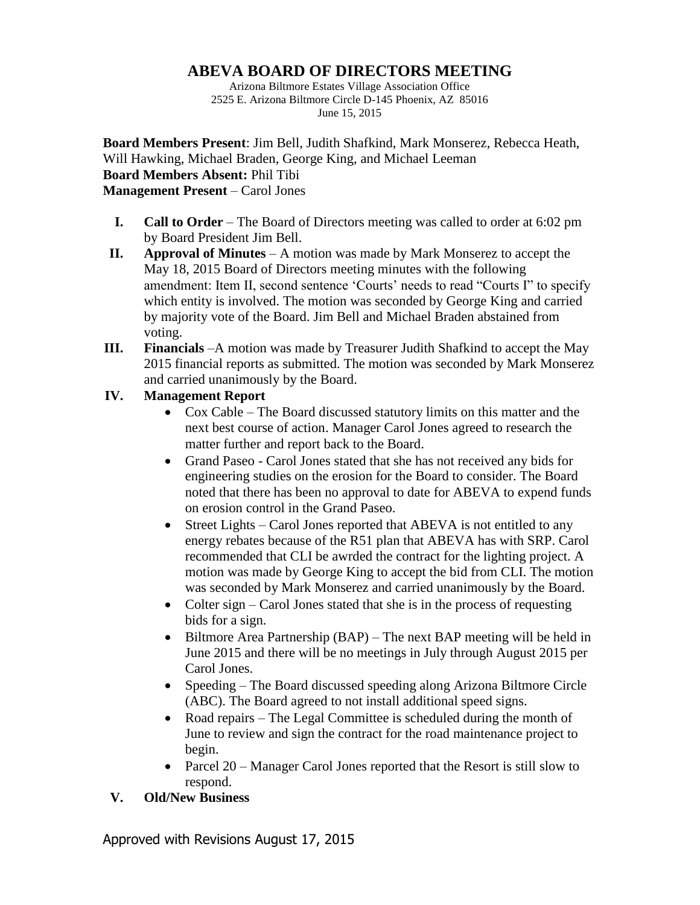## **ABEVA BOARD OF DIRECTORS MEETING**

Arizona Biltmore Estates Village Association Office 2525 E. Arizona Biltmore Circle D-145 Phoenix, AZ 85016 June 15, 2015

**Board Members Present**: Jim Bell, Judith Shafkind, Mark Monserez, Rebecca Heath, Will Hawking, Michael Braden, George King, and Michael Leeman **Board Members Absent:** Phil Tibi **Management Present** – Carol Jones

- **I. Call to Order** The Board of Directors meeting was called to order at 6:02 pm by Board President Jim Bell.
- **II. Approval of Minutes** A motion was made by Mark Monserez to accept the May 18, 2015 Board of Directors meeting minutes with the following amendment: Item II, second sentence 'Courts' needs to read "Courts I" to specify which entity is involved. The motion was seconded by George King and carried by majority vote of the Board. Jim Bell and Michael Braden abstained from voting.
- **III. Financials** –A motion was made by Treasurer Judith Shafkind to accept the May 2015 financial reports as submitted. The motion was seconded by Mark Monserez and carried unanimously by the Board.

## **IV. Management Report**

- Cox Cable The Board discussed statutory limits on this matter and the next best course of action. Manager Carol Jones agreed to research the matter further and report back to the Board.
- Grand Paseo Carol Jones stated that she has not received any bids for engineering studies on the erosion for the Board to consider. The Board noted that there has been no approval to date for ABEVA to expend funds on erosion control in the Grand Paseo.
- Street Lights Carol Jones reported that ABEVA is not entitled to any energy rebates because of the R51 plan that ABEVA has with SRP. Carol recommended that CLI be awrded the contract for the lighting project. A motion was made by George King to accept the bid from CLI. The motion was seconded by Mark Monserez and carried unanimously by the Board.
- Colter sign Carol Jones stated that she is in the process of requesting bids for a sign.
- $\bullet$  Biltmore Area Partnership (BAP) The next BAP meeting will be held in June 2015 and there will be no meetings in July through August 2015 per Carol Jones.
- Speeding The Board discussed speeding along Arizona Biltmore Circle (ABC). The Board agreed to not install additional speed signs.
- Road repairs The Legal Committee is scheduled during the month of June to review and sign the contract for the road maintenance project to begin.
- Parcel 20 Manager Carol Jones reported that the Resort is still slow to respond.
- **V. Old/New Business**

Approved with Revisions August 17, 2015